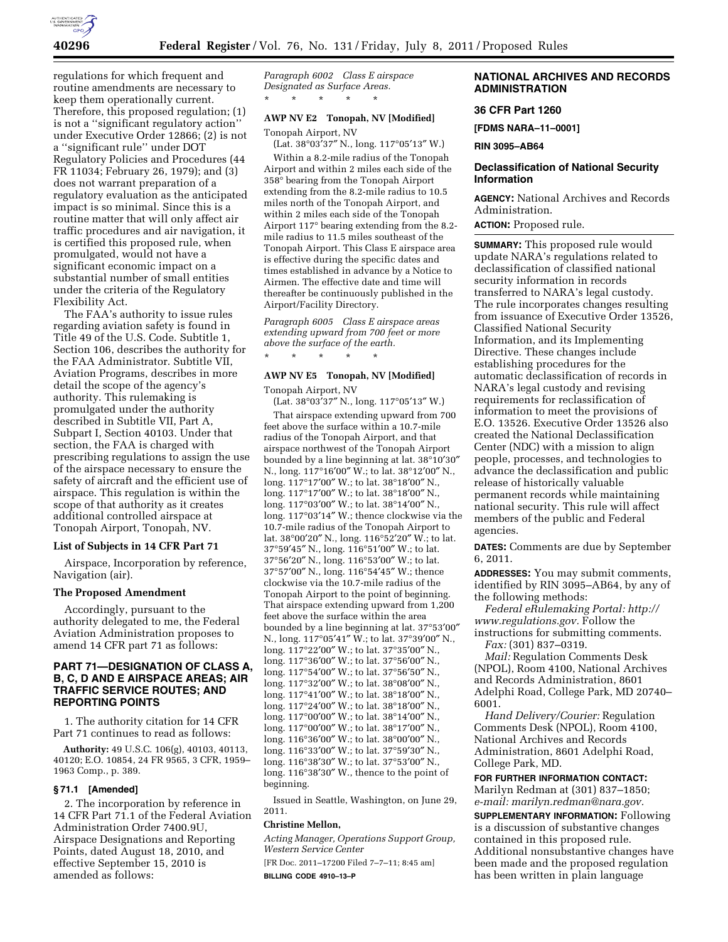

regulations for which frequent and routine amendments are necessary to keep them operationally current. Therefore, this proposed regulation; (1) is not a ''significant regulatory action'' under Executive Order 12866; (2) is not a ''significant rule'' under DOT Regulatory Policies and Procedures (44 FR 11034; February 26, 1979); and (3) does not warrant preparation of a regulatory evaluation as the anticipated impact is so minimal. Since this is a routine matter that will only affect air traffic procedures and air navigation, it is certified this proposed rule, when promulgated, would not have a significant economic impact on a substantial number of small entities under the criteria of the Regulatory Flexibility Act.

The FAA's authority to issue rules regarding aviation safety is found in Title 49 of the U.S. Code. Subtitle 1, Section 106, describes the authority for the FAA Administrator. Subtitle VII, Aviation Programs, describes in more detail the scope of the agency's authority. This rulemaking is promulgated under the authority described in Subtitle VII, Part A, Subpart I, Section 40103. Under that section, the FAA is charged with prescribing regulations to assign the use of the airspace necessary to ensure the safety of aircraft and the efficient use of airspace. This regulation is within the scope of that authority as it creates additional controlled airspace at Tonopah Airport, Tonopah, NV.

# **List of Subjects in 14 CFR Part 71**

Airspace, Incorporation by reference, Navigation (air).

### **The Proposed Amendment**

Accordingly, pursuant to the authority delegated to me, the Federal Aviation Administration proposes to amend 14 CFR part 71 as follows:

# **PART 71—DESIGNATION OF CLASS A, B, C, D AND E AIRSPACE AREAS; AIR TRAFFIC SERVICE ROUTES; AND REPORTING POINTS**

1. The authority citation for 14 CFR Part 71 continues to read as follows:

**Authority:** 49 U.S.C. 106(g), 40103, 40113, 40120; E.O. 10854, 24 FR 9565, 3 CFR, 1959– 1963 Comp., p. 389.

### **§ 71.1 [Amended]**

2. The incorporation by reference in 14 CFR Part 71.1 of the Federal Aviation Administration Order 7400.9U, Airspace Designations and Reporting Points, dated August 18, 2010, and effective September 15, 2010 is amended as follows:

*Paragraph 6002 Class E airspace Designated as Surface Areas.*  \* \* \* \* \*

## **AWP NV E2 Tonopah, NV [Modified]**

Tonopah Airport, NV (Lat. 38°03′37″ N., long. 117°05′13″ W.)

Within a 8.2-mile radius of the Tonopah Airport and within 2 miles each side of the 358° bearing from the Tonopah Airport extending from the 8.2-mile radius to 10.5 miles north of the Tonopah Airport, and within 2 miles each side of the Tonopah Airport 117° bearing extending from the 8.2 mile radius to 11.5 miles southeast of the Tonopah Airport. This Class E airspace area is effective during the specific dates and times established in advance by a Notice to Airmen. The effective date and time will thereafter be continuously published in the Airport/Facility Directory.

*Paragraph 6005 Class E airspace areas extending upward from 700 feet or more above the surface of the earth.*  \* \* \* \* \*

# **AWP NV E5 Tonopah, NV [Modified]**

Tonopah Airport, NV

(Lat. 38°03′37″ N., long. 117°05′13″ W.) That airspace extending upward from 700 feet above the surface within a 10.7-mile radius of the Tonopah Airport, and that airspace northwest of the Tonopah Airport bounded by a line beginning at lat. 38°10′30″ N., long. 117°16′00″ W.; to lat. 38°12′00″ N., long. 117°17′00″ W.; to lat. 38°18′00″ N., long. 117°17′00″ W.; to lat. 38°18′00″ N., long. 117°03′00″ W.; to lat. 38°14′00″ N., long. 117°03′14″ W.; thence clockwise via the 10.7-mile radius of the Tonopah Airport to lat. 38°00′20″ N., long. 116°52′20″ W.; to lat. 37°59′45″ N., long. 116°51′00″ W.; to lat. 37°56′20″ N., long. 116°53′00″ W.; to lat. 37°57′00″ N., long. 116°54′45″ W.; thence clockwise via the 10.7-mile radius of the Tonopah Airport to the point of beginning. That airspace extending upward from 1,200 feet above the surface within the area bounded by a line beginning at lat. 37°53′00″ N., long. 117°05′41″ W.; to lat. 37°39′00″ N., long. 117°22′00″ W.; to lat. 37°35′00″ N., long. 117°36′00″ W.; to lat. 37°56′00″ N., long. 117°54′00″ W.; to lat. 37°56′50″ N., long. 117°32′00″ W.; to lat. 38°08′00″ N., long. 117°41′00″ W.; to lat. 38°18′00″ N., long. 117°24′00″ W.; to lat. 38°18′00″ N., long. 117°00′00″ W.; to lat. 38°14′00″ N., long. 117°00′00″ W.; to lat. 38°17′00″ N., long. 116°36′00″ W.; to lat. 38°00′00″ N., long. 116°33′00″ W.; to lat. 37°59′30″ N., long. 116°38′30″ W.; to lat. 37°53′00″ N., long. 116°38′30″ W., thence to the point of beginning.

Issued in Seattle, Washington, on June 29, 2011.

### **Christine Mellon,**

*Acting Manager, Operations Support Group, Western Service Center* 

[FR Doc. 2011–17200 Filed 7–7–11; 8:45 am] **BILLING CODE 4910–13–P** 

# **NATIONAL ARCHIVES AND RECORDS ADMINISTRATION**

## **36 CFR Part 1260**

**[FDMS NARA–11–0001]** 

**RIN 3095–AB64** 

# **Declassification of National Security Information**

**AGENCY:** National Archives and Records Administration.

**ACTION:** Proposed rule.

**SUMMARY:** This proposed rule would update NARA's regulations related to declassification of classified national security information in records transferred to NARA's legal custody. The rule incorporates changes resulting from issuance of Executive Order 13526, Classified National Security Information, and its Implementing Directive. These changes include establishing procedures for the automatic declassification of records in NARA's legal custody and revising requirements for reclassification of information to meet the provisions of E.O. 13526. Executive Order 13526 also created the National Declassification Center (NDC) with a mission to align people, processes, and technologies to advance the declassification and public release of historically valuable permanent records while maintaining national security. This rule will affect members of the public and Federal agencies.

**DATES:** Comments are due by September 6, 2011.

**ADDRESSES:** You may submit comments, identified by RIN 3095–AB64, by any of the following methods:

*Federal eRulemaking Portal: [http://](http://www.regulations.gov)  [www.regulations.gov.](http://www.regulations.gov)* Follow the instructions for submitting comments.

*Fax:* (301) 837–0319.

*Mail:* Regulation Comments Desk (NPOL), Room 4100, National Archives and Records Administration, 8601 Adelphi Road, College Park, MD 20740– 6001.

*Hand Delivery/Courier:* Regulation Comments Desk (NPOL), Room 4100, National Archives and Records Administration, 8601 Adelphi Road, College Park, MD.

### **FOR FURTHER INFORMATION CONTACT:**

Marilyn Redman at (301) 837–1850; *e-mail: [marilyn.redman@nara.gov.](mailto:marilyn.redman@nara.gov)* 

**SUPPLEMENTARY INFORMATION:** Following is a discussion of substantive changes contained in this proposed rule. Additional nonsubstantive changes have been made and the proposed regulation has been written in plain language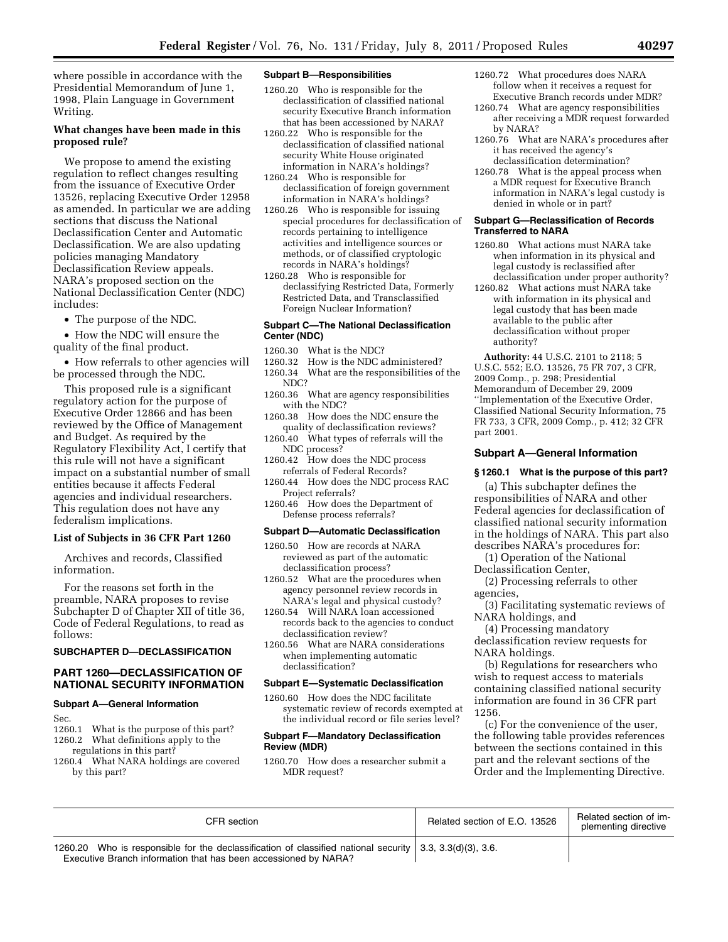where possible in accordance with the Presidential Memorandum of June 1, 1998, Plain Language in Government Writing.

# **What changes have been made in this proposed rule?**

We propose to amend the existing regulation to reflect changes resulting from the issuance of Executive Order 13526, replacing Executive Order 12958 as amended. In particular we are adding sections that discuss the National Declassification Center and Automatic Declassification. We are also updating policies managing Mandatory Declassification Review appeals. NARA's proposed section on the National Declassification Center (NDC) includes:

• The purpose of the NDC.

• How the NDC will ensure the quality of the final product.

• How referrals to other agencies will be processed through the NDC.

This proposed rule is a significant regulatory action for the purpose of Executive Order 12866 and has been reviewed by the Office of Management and Budget. As required by the Regulatory Flexibility Act, I certify that this rule will not have a significant impact on a substantial number of small entities because it affects Federal agencies and individual researchers. This regulation does not have any federalism implications.

### **List of Subjects in 36 CFR Part 1260**

Archives and records, Classified information.

For the reasons set forth in the preamble, NARA proposes to revise Subchapter D of Chapter XII of title 36, Code of Federal Regulations, to read as follows:

## **SUBCHAPTER D—DECLASSIFICATION**

## **PART 1260—DECLASSIFICATION OF NATIONAL SECURITY INFORMATION**

### **Subpart A—General Information**

- Sec.<br>1260.1 What is the purpose of this part?
- 1260.2 What definitions apply to the
- regulations in this part? 1260.4 What NARA holdings are covered by this part?

## **Subpart B—Responsibilities**

- 1260.20 Who is responsible for the declassification of classified national security Executive Branch information that has been accessioned by NARA?
- 1260.22 Who is responsible for the declassification of classified national security White House originated information in NARA's holdings?
- 1260.24 Who is responsible for declassification of foreign government information in NARA's holdings?
- 1260.26 Who is responsible for issuing special procedures for declassification of records pertaining to intelligence activities and intelligence sources or methods, or of classified cryptologic records in NARA's holdings?
- 1260.28 Who is responsible for declassifying Restricted Data, Formerly Restricted Data, and Transclassified Foreign Nuclear Information?

## **Subpart C—The National Declassification Center (NDC)**

- 1260.30 What is the NDC?
- 1260.32 How is the NDC administered? 1260.34 What are the responsibilities of the NDC?
- 1260.36 What are agency responsibilities with the NDC?
- 1260.38 How does the NDC ensure the quality of declassification reviews?

1260.40 What types of referrals will the NDC process?

- 1260.42 How does the NDC process referrals of Federal Records?
- 1260.44 How does the NDC process RAC Project referrals?
- 1260.46 How does the Department of Defense process referrals?

#### **Subpart D—Automatic Declassification**

- 1260.50 How are records at NARA reviewed as part of the automatic declassification process?
- 1260.52 What are the procedures when agency personnel review records in NARA's legal and physical custody?
- 1260.54 Will NARA loan accessioned records back to the agencies to conduct declassification review?
- 1260.56 What are NARA considerations when implementing automatic declassification?

### **Subpart E—Systematic Declassification**

1260.60 How does the NDC facilitate systematic review of records exempted at the individual record or file series level?

## **Subpart F—Mandatory Declassification Review (MDR)**

1260.70 How does a researcher submit a MDR request?

- 1260.72 What procedures does NARA follow when it receives a request for Executive Branch records under MDR?
- 1260.74 What are agency responsibilities after receiving a MDR request forwarded by NARA?
- 1260.76 What are NARA's procedures after it has received the agency's declassification determination?
- 1260.78 What is the appeal process when a MDR request for Executive Branch information in NARA's legal custody is denied in whole or in part?

### **Subpart G—Reclassification of Records Transferred to NARA**

- 1260.80 What actions must NARA take when information in its physical and legal custody is reclassified after declassification under proper authority?
- 1260.82 What actions must NARA take with information in its physical and legal custody that has been made available to the public after declassification without proper authority?

**Authority:** 44 U.S.C. 2101 to 2118; 5 U.S.C. 552; E.O. 13526, 75 FR 707, 3 CFR, 2009 Comp., p. 298; Presidential Memorandum of December 29, 2009 ''Implementation of the Executive Order, Classified National Security Information, 75 FR 733, 3 CFR, 2009 Comp., p. 412; 32 CFR part 2001.

### **Subpart A—General Information**

### **§ 1260.1 What is the purpose of this part?**

(a) This subchapter defines the responsibilities of NARA and other Federal agencies for declassification of classified national security information in the holdings of NARA. This part also describes NARA's procedures for:

(1) Operation of the National Declassification Center,

(2) Processing referrals to other agencies,

(3) Facilitating systematic reviews of NARA holdings, and

(4) Processing mandatory declassification review requests for NARA holdings.

(b) Regulations for researchers who wish to request access to materials containing classified national security information are found in 36 CFR part 1256.

(c) For the convenience of the user, the following table provides references between the sections contained in this part and the relevant sections of the Order and the Implementing Directive.

| CFR section                                                                                                                                                                         | Related section of E.O. 13526 | Related section of im-<br>plementing directive |
|-------------------------------------------------------------------------------------------------------------------------------------------------------------------------------------|-------------------------------|------------------------------------------------|
| 1260.20 Who is responsible for the declassification of classified national security $\vert$ 3.3, 3.3(d)(3), 3.6.<br>Executive Branch information that has been accessioned by NARA? |                               |                                                |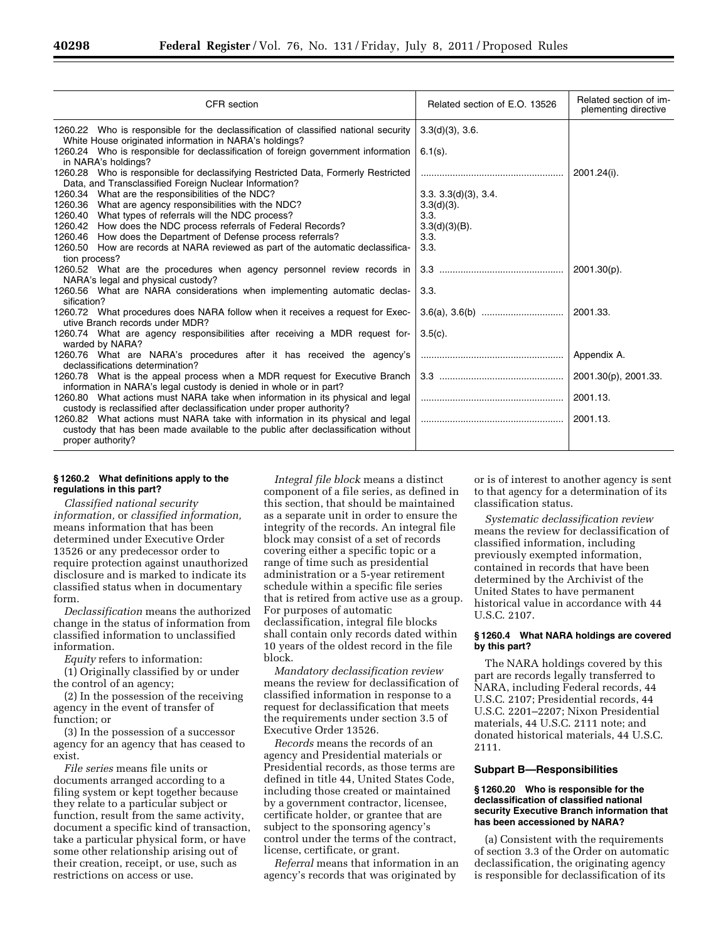| CFR section                                                                                                                                                                              | Related section of E.O. 13526 | Related section of im-<br>plementing directive |
|------------------------------------------------------------------------------------------------------------------------------------------------------------------------------------------|-------------------------------|------------------------------------------------|
| 1260.22 Who is responsible for the declassification of classified national security<br>White House originated information in NARA's holdings?                                            | $3.3(d)(3)$ , $3.6$ .         |                                                |
| 1260.24 Who is responsible for declassification of foreign government information<br>in NARA's holdings?                                                                                 | $6.1(s)$ .                    |                                                |
| 1260.28 Who is responsible for declassifying Restricted Data, Formerly Restricted<br>Data, and Transclassified Foreign Nuclear Information?                                              |                               | 2001.24(i).                                    |
| 1260.34 What are the responsibilities of the NDC?                                                                                                                                        | 3.3.3.3(d)(3), 3.4.           |                                                |
| 1260.36 What are agency responsibilities with the NDC?                                                                                                                                   | $3.3(d)(3)$ .                 |                                                |
| 1260.40<br>What types of referrals will the NDC process?                                                                                                                                 | 3.3.                          |                                                |
| How does the NDC process referrals of Federal Records?<br>1260.42                                                                                                                        | $3.3(d)(3)(B)$ .              |                                                |
| 1260.46 How does the Department of Defense process referrals?<br>1260.50 How are records at NARA reviewed as part of the automatic declassifica-                                         | 3.3.<br>3.3.                  |                                                |
| tion process?                                                                                                                                                                            |                               |                                                |
| 1260.52 What are the procedures when agency personnel review records in                                                                                                                  |                               | $2001.30(p)$ .                                 |
| NARA's legal and physical custody?                                                                                                                                                       |                               |                                                |
| 1260.56 What are NARA considerations when implementing automatic declas-                                                                                                                 | 3.3.                          |                                                |
| sification?                                                                                                                                                                              |                               |                                                |
| 1260.72 What procedures does NARA follow when it receives a request for Exec-                                                                                                            |                               | 2001.33.                                       |
| utive Branch records under MDR?                                                                                                                                                          |                               |                                                |
| 1260.74 What are agency responsibilities after receiving a MDR request for-<br>warded by NARA?                                                                                           | $3.5(c)$ .                    |                                                |
| 1260.76 What are NARA's procedures after it has received the agency's<br>declassifications determination?                                                                                |                               | Appendix A.                                    |
| 1260.78 What is the appeal process when a MDR request for Executive Branch<br>information in NARA's legal custody is denied in whole or in part?                                         |                               | 2001.30(p), 2001.33.                           |
| 1260.80 What actions must NARA take when information in its physical and legal<br>custody is reclassified after declassification under proper authority?                                 |                               | 2001.13.                                       |
| 1260.82 What actions must NARA take with information in its physical and legal<br>custody that has been made available to the public after declassification without<br>proper authority? |                               | 2001.13.                                       |
|                                                                                                                                                                                          |                               |                                                |

# **§ 1260.2 What definitions apply to the regulations in this part?**

*Classified national security information,* or *classified information,*  means information that has been determined under Executive Order 13526 or any predecessor order to require protection against unauthorized disclosure and is marked to indicate its classified status when in documentary form.

*Declassification* means the authorized change in the status of information from classified information to unclassified information.

*Equity* refers to information:

(1) Originally classified by or under the control of an agency;

(2) In the possession of the receiving agency in the event of transfer of function; or

(3) In the possession of a successor agency for an agency that has ceased to exist.

*File series* means file units or documents arranged according to a filing system or kept together because they relate to a particular subject or function, result from the same activity, document a specific kind of transaction, take a particular physical form, or have some other relationship arising out of their creation, receipt, or use, such as restrictions on access or use.

*Integral file block* means a distinct component of a file series, as defined in this section, that should be maintained as a separate unit in order to ensure the integrity of the records. An integral file block may consist of a set of records covering either a specific topic or a range of time such as presidential administration or a 5-year retirement schedule within a specific file series that is retired from active use as a group. For purposes of automatic declassification, integral file blocks shall contain only records dated within 10 years of the oldest record in the file block.

*Mandatory declassification review*  means the review for declassification of classified information in response to a request for declassification that meets the requirements under section 3.5 of Executive Order 13526.

*Records* means the records of an agency and Presidential materials or Presidential records, as those terms are defined in title 44, United States Code, including those created or maintained by a government contractor, licensee, certificate holder, or grantee that are subject to the sponsoring agency's control under the terms of the contract, license, certificate, or grant.

*Referral* means that information in an agency's records that was originated by

or is of interest to another agency is sent to that agency for a determination of its classification status.

*Systematic declassification review*  means the review for declassification of classified information, including previously exempted information, contained in records that have been determined by the Archivist of the United States to have permanent historical value in accordance with 44 U.S.C. 2107.

## **§ 1260.4 What NARA holdings are covered by this part?**

The NARA holdings covered by this part are records legally transferred to NARA, including Federal records, 44 U.S.C. 2107; Presidential records, 44 U.S.C. 2201–2207; Nixon Presidential materials, 44 U.S.C. 2111 note; and donated historical materials, 44 U.S.C. 2111.

## **Subpart B—Responsibilities**

## **§ 1260.20 Who is responsible for the declassification of classified national security Executive Branch information that has been accessioned by NARA?**

(a) Consistent with the requirements of section 3.3 of the Order on automatic declassification, the originating agency is responsible for declassification of its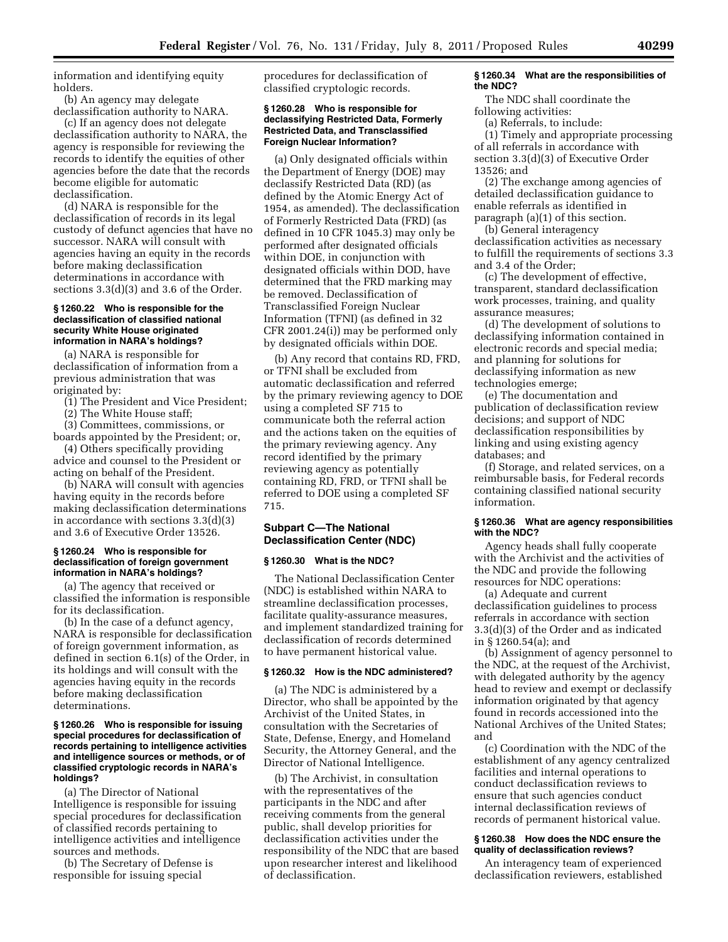information and identifying equity holders.

(b) An agency may delegate declassification authority to NARA.

(c) If an agency does not delegate declassification authority to NARA, the agency is responsible for reviewing the records to identify the equities of other agencies before the date that the records become eligible for automatic declassification.

(d) NARA is responsible for the declassification of records in its legal custody of defunct agencies that have no successor. NARA will consult with agencies having an equity in the records before making declassification determinations in accordance with sections 3.3(d)(3) and 3.6 of the Order.

### **§ 1260.22 Who is responsible for the declassification of classified national security White House originated information in NARA's holdings?**

(a) NARA is responsible for declassification of information from a previous administration that was originated by:

(1) The President and Vice President;

(2) The White House staff;

(3) Committees, commissions, or

boards appointed by the President; or, (4) Others specifically providing

advice and counsel to the President or acting on behalf of the President.

(b) NARA will consult with agencies having equity in the records before making declassification determinations in accordance with sections 3.3(d)(3) and 3.6 of Executive Order 13526.

### **§ 1260.24 Who is responsible for declassification of foreign government information in NARA's holdings?**

(a) The agency that received or classified the information is responsible for its declassification.

(b) In the case of a defunct agency, NARA is responsible for declassification of foreign government information, as defined in section 6.1(s) of the Order, in its holdings and will consult with the agencies having equity in the records before making declassification determinations.

### **§ 1260.26 Who is responsible for issuing special procedures for declassification of records pertaining to intelligence activities and intelligence sources or methods, or of classified cryptologic records in NARA's holdings?**

(a) The Director of National Intelligence is responsible for issuing special procedures for declassification of classified records pertaining to intelligence activities and intelligence sources and methods.

(b) The Secretary of Defense is responsible for issuing special

procedures for declassification of classified cryptologic records.

## **§ 1260.28 Who is responsible for declassifying Restricted Data, Formerly Restricted Data, and Transclassified Foreign Nuclear Information?**

(a) Only designated officials within the Department of Energy (DOE) may declassify Restricted Data (RD) (as defined by the Atomic Energy Act of 1954, as amended). The declassification of Formerly Restricted Data (FRD) (as defined in 10 CFR 1045.3) may only be performed after designated officials within DOE, in conjunction with designated officials within DOD, have determined that the FRD marking may be removed. Declassification of Transclassified Foreign Nuclear Information (TFNI) (as defined in 32 CFR 2001.24(i)) may be performed only by designated officials within DOE.

(b) Any record that contains RD, FRD, or TFNI shall be excluded from automatic declassification and referred by the primary reviewing agency to DOE using a completed SF 715 to communicate both the referral action and the actions taken on the equities of the primary reviewing agency. Any record identified by the primary reviewing agency as potentially containing RD, FRD, or TFNI shall be referred to DOE using a completed SF 715.

# **Subpart C—The National Declassification Center (NDC)**

### **§ 1260.30 What is the NDC?**

The National Declassification Center (NDC) is established within NARA to streamline declassification processes, facilitate quality-assurance measures, and implement standardized training for declassification of records determined to have permanent historical value.

## **§ 1260.32 How is the NDC administered?**

(a) The NDC is administered by a Director, who shall be appointed by the Archivist of the United States, in consultation with the Secretaries of State, Defense, Energy, and Homeland Security, the Attorney General, and the Director of National Intelligence.

(b) The Archivist, in consultation with the representatives of the participants in the NDC and after receiving comments from the general public, shall develop priorities for declassification activities under the responsibility of the NDC that are based upon researcher interest and likelihood of declassification.

## **§ 1260.34 What are the responsibilities of the NDC?**

The NDC shall coordinate the following activities:

(a) Referrals, to include:

(1) Timely and appropriate processing of all referrals in accordance with section 3.3(d)(3) of Executive Order 13526; and

(2) The exchange among agencies of detailed declassification guidance to enable referrals as identified in paragraph (a)(1) of this section.

(b) General interagency declassification activities as necessary to fulfill the requirements of sections 3.3 and 3.4 of the Order;

(c) The development of effective, transparent, standard declassification work processes, training, and quality assurance measures;

(d) The development of solutions to declassifying information contained in electronic records and special media; and planning for solutions for declassifying information as new technologies emerge;

(e) The documentation and publication of declassification review decisions; and support of NDC declassification responsibilities by linking and using existing agency databases; and

(f) Storage, and related services, on a reimbursable basis, for Federal records containing classified national security information.

## **§ 1260.36 What are agency responsibilities with the NDC?**

Agency heads shall fully cooperate with the Archivist and the activities of the NDC and provide the following resources for NDC operations:

(a) Adequate and current declassification guidelines to process referrals in accordance with section 3.3(d)(3) of the Order and as indicated in § 1260.54(a); and

(b) Assignment of agency personnel to the NDC, at the request of the Archivist, with delegated authority by the agency head to review and exempt or declassify information originated by that agency found in records accessioned into the National Archives of the United States; and

(c) Coordination with the NDC of the establishment of any agency centralized facilities and internal operations to conduct declassification reviews to ensure that such agencies conduct internal declassification reviews of records of permanent historical value.

## **§ 1260.38 How does the NDC ensure the quality of declassification reviews?**

An interagency team of experienced declassification reviewers, established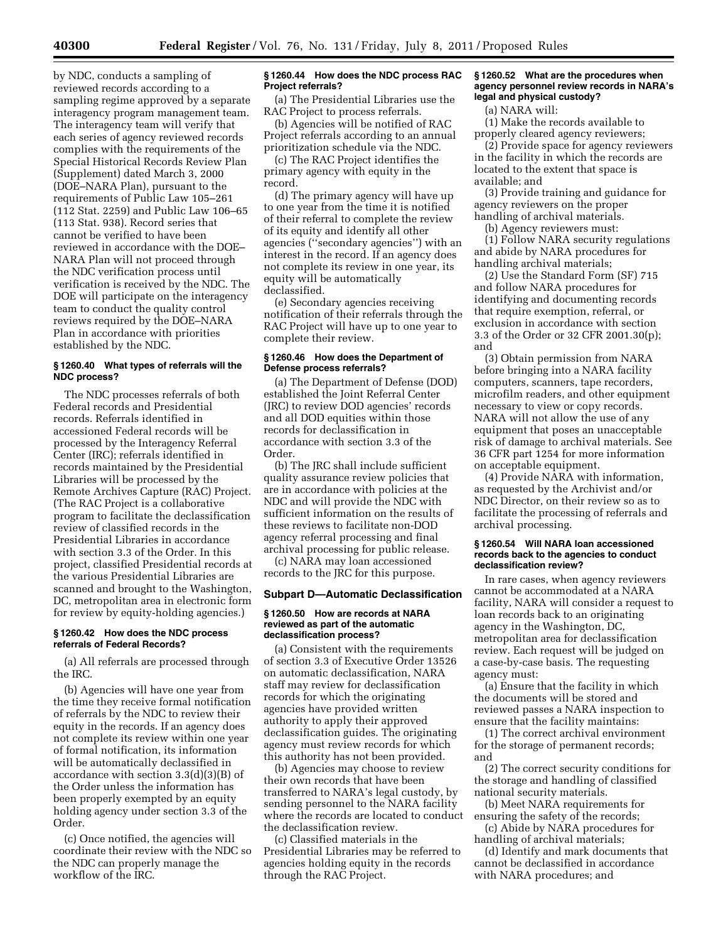by NDC, conducts a sampling of reviewed records according to a sampling regime approved by a separate interagency program management team. The interagency team will verify that each series of agency reviewed records complies with the requirements of the Special Historical Records Review Plan (Supplement) dated March 3, 2000 (DOE–NARA Plan), pursuant to the requirements of Public Law 105–261 (112 Stat. 2259) and Public Law 106–65 (113 Stat. 938). Record series that cannot be verified to have been reviewed in accordance with the DOE– NARA Plan will not proceed through the NDC verification process until verification is received by the NDC. The DOE will participate on the interagency team to conduct the quality control reviews required by the DOE–NARA Plan in accordance with priorities established by the NDC.

## **§ 1260.40 What types of referrals will the NDC process?**

The NDC processes referrals of both Federal records and Presidential records. Referrals identified in accessioned Federal records will be processed by the Interagency Referral Center (IRC); referrals identified in records maintained by the Presidential Libraries will be processed by the Remote Archives Capture (RAC) Project. (The RAC Project is a collaborative program to facilitate the declassification review of classified records in the Presidential Libraries in accordance with section 3.3 of the Order. In this project, classified Presidential records at the various Presidential Libraries are scanned and brought to the Washington, DC, metropolitan area in electronic form for review by equity-holding agencies.)

## **§ 1260.42 How does the NDC process referrals of Federal Records?**

(a) All referrals are processed through the IRC.

(b) Agencies will have one year from the time they receive formal notification of referrals by the NDC to review their equity in the records. If an agency does not complete its review within one year of formal notification, its information will be automatically declassified in accordance with section 3.3(d)(3)(B) of the Order unless the information has been properly exempted by an equity holding agency under section 3.3 of the Order.

(c) Once notified, the agencies will coordinate their review with the NDC so the NDC can properly manage the workflow of the IRC.

## **§ 1260.44 How does the NDC process RAC Project referrals?**

(a) The Presidential Libraries use the RAC Project to process referrals.

(b) Agencies will be notified of RAC Project referrals according to an annual prioritization schedule via the NDC.

(c) The RAC Project identifies the primary agency with equity in the record.

(d) The primary agency will have up to one year from the time it is notified of their referral to complete the review of its equity and identify all other agencies (''secondary agencies'') with an interest in the record. If an agency does not complete its review in one year, its equity will be automatically declassified.

(e) Secondary agencies receiving notification of their referrals through the RAC Project will have up to one year to complete their review.

### **§ 1260.46 How does the Department of Defense process referrals?**

(a) The Department of Defense (DOD) established the Joint Referral Center (JRC) to review DOD agencies' records and all DOD equities within those records for declassification in accordance with section 3.3 of the Order.

(b) The JRC shall include sufficient quality assurance review policies that are in accordance with policies at the NDC and will provide the NDC with sufficient information on the results of these reviews to facilitate non-DOD agency referral processing and final archival processing for public release.

(c) NARA may loan accessioned records to the JRC for this purpose.

## **Subpart D—Automatic Declassification**

## **§ 1260.50 How are records at NARA reviewed as part of the automatic declassification process?**

(a) Consistent with the requirements of section 3.3 of Executive Order 13526 on automatic declassification, NARA staff may review for declassification records for which the originating agencies have provided written authority to apply their approved declassification guides. The originating agency must review records for which this authority has not been provided.

(b) Agencies may choose to review their own records that have been transferred to NARA's legal custody, by sending personnel to the NARA facility where the records are located to conduct the declassification review.

(c) Classified materials in the Presidential Libraries may be referred to agencies holding equity in the records through the RAC Project.

# **§ 1260.52 What are the procedures when agency personnel review records in NARA's legal and physical custody?**

(a) NARA will:

(1) Make the records available to properly cleared agency reviewers;

(2) Provide space for agency reviewers in the facility in which the records are located to the extent that space is available; and

(3) Provide training and guidance for agency reviewers on the proper handling of archival materials.

(b) Agency reviewers must:

(1) Follow NARA security regulations and abide by NARA procedures for handling archival materials;

(2) Use the Standard Form (SF) 715 and follow NARA procedures for identifying and documenting records that require exemption, referral, or exclusion in accordance with section 3.3 of the Order or 32 CFR 2001.30(p); and

(3) Obtain permission from NARA before bringing into a NARA facility computers, scanners, tape recorders, microfilm readers, and other equipment necessary to view or copy records. NARA will not allow the use of any equipment that poses an unacceptable risk of damage to archival materials. See 36 CFR part 1254 for more information on acceptable equipment.

(4) Provide NARA with information, as requested by the Archivist and/or NDC Director, on their review so as to facilitate the processing of referrals and archival processing.

## **§ 1260.54 Will NARA loan accessioned records back to the agencies to conduct declassification review?**

In rare cases, when agency reviewers cannot be accommodated at a NARA facility, NARA will consider a request to loan records back to an originating agency in the Washington, DC, metropolitan area for declassification review. Each request will be judged on a case-by-case basis. The requesting agency must:

(a) Ensure that the facility in which the documents will be stored and reviewed passes a NARA inspection to ensure that the facility maintains:

(1) The correct archival environment for the storage of permanent records; and

(2) The correct security conditions for the storage and handling of classified national security materials.

(b) Meet NARA requirements for ensuring the safety of the records; (c) Abide by NARA procedures for

handling of archival materials;

(d) Identify and mark documents that cannot be declassified in accordance with NARA procedures; and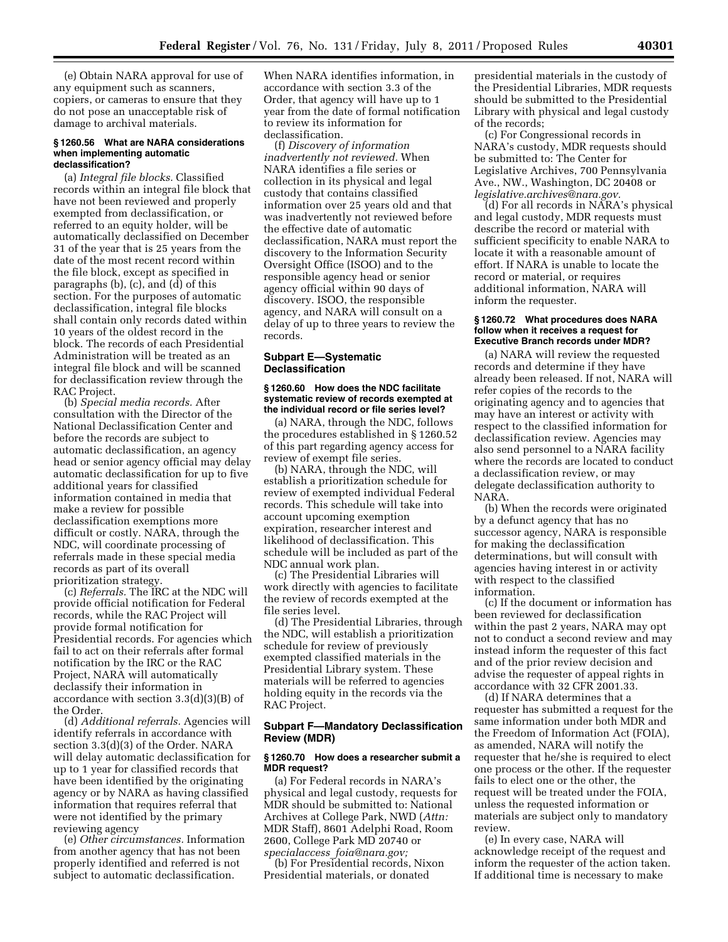(e) Obtain NARA approval for use of any equipment such as scanners, copiers, or cameras to ensure that they do not pose an unacceptable risk of damage to archival materials.

### **§ 1260.56 What are NARA considerations when implementing automatic declassification?**

(a) *Integral file blocks.* Classified records within an integral file block that have not been reviewed and properly exempted from declassification, or referred to an equity holder, will be automatically declassified on December 31 of the year that is 25 years from the date of the most recent record within the file block, except as specified in paragraphs (b), (c), and (d) of this section. For the purposes of automatic declassification, integral file blocks shall contain only records dated within 10 years of the oldest record in the block. The records of each Presidential Administration will be treated as an integral file block and will be scanned for declassification review through the RAC Project.

(b) *Special media records.* After consultation with the Director of the National Declassification Center and before the records are subject to automatic declassification, an agency head or senior agency official may delay automatic declassification for up to five additional years for classified information contained in media that make a review for possible declassification exemptions more difficult or costly. NARA, through the NDC, will coordinate processing of referrals made in these special media records as part of its overall prioritization strategy.

(c) *Referrals.* The IRC at the NDC will provide official notification for Federal records, while the RAC Project will provide formal notification for Presidential records. For agencies which fail to act on their referrals after formal notification by the IRC or the RAC Project, NARA will automatically declassify their information in accordance with section 3.3(d)(3)(B) of the Order.

(d) *Additional referrals.* Agencies will identify referrals in accordance with section 3.3(d)(3) of the Order. NARA will delay automatic declassification for up to 1 year for classified records that have been identified by the originating agency or by NARA as having classified information that requires referral that were not identified by the primary reviewing agency

(e) *Other circumstances.* Information from another agency that has not been properly identified and referred is not subject to automatic declassification.

When NARA identifies information, in accordance with section 3.3 of the Order, that agency will have up to 1 year from the date of formal notification to review its information for declassification.

(f) *Discovery of information inadvertently not reviewed.* When NARA identifies a file series or collection in its physical and legal custody that contains classified information over 25 years old and that was inadvertently not reviewed before the effective date of automatic declassification, NARA must report the discovery to the Information Security Oversight Office (ISOO) and to the responsible agency head or senior agency official within 90 days of discovery. ISOO, the responsible agency, and NARA will consult on a delay of up to three years to review the records.

### **Subpart E—Systematic Declassification**

### **§ 1260.60 How does the NDC facilitate systematic review of records exempted at the individual record or file series level?**

(a) NARA, through the NDC, follows the procedures established in § 1260.52 of this part regarding agency access for review of exempt file series.

(b) NARA, through the NDC, will establish a prioritization schedule for review of exempted individual Federal records. This schedule will take into account upcoming exemption expiration, researcher interest and likelihood of declassification. This schedule will be included as part of the NDC annual work plan.

(c) The Presidential Libraries will work directly with agencies to facilitate the review of records exempted at the file series level.

(d) The Presidential Libraries, through the NDC, will establish a prioritization schedule for review of previously exempted classified materials in the Presidential Library system. These materials will be referred to agencies holding equity in the records via the RAC Project.

# **Subpart F—Mandatory Declassification Review (MDR)**

# **§ 1260.70 How does a researcher submit a MDR request?**

(a) For Federal records in NARA's physical and legal custody, requests for MDR should be submitted to: National Archives at College Park, NWD (*Attn:*  MDR Staff), 8601 Adelphi Road, Room 2600, College Park MD 20740 or

*specialaccess*\_*[foia@nara.gov;](mailto:specialaccess_foia@nara.gov)*  (b) For Presidential records, Nixon Presidential materials, or donated

presidential materials in the custody of the Presidential Libraries, MDR requests should be submitted to the Presidential Library with physical and legal custody of the records;

(c) For Congressional records in NARA's custody, MDR requests should be submitted to: The Center for Legislative Archives, 700 Pennsylvania Ave., NW., Washington, DC 20408 or *[legislative.archives@nara.gov.](mailto:legislative.archives@nara.gov)* 

(d) For all records in NARA's physical and legal custody, MDR requests must describe the record or material with sufficient specificity to enable NARA to locate it with a reasonable amount of effort. If NARA is unable to locate the record or material, or requires additional information, NARA will inform the requester.

### **§ 1260.72 What procedures does NARA follow when it receives a request for Executive Branch records under MDR?**

(a) NARA will review the requested records and determine if they have already been released. If not, NARA will refer copies of the records to the originating agency and to agencies that may have an interest or activity with respect to the classified information for declassification review. Agencies may also send personnel to a NARA facility where the records are located to conduct a declassification review, or may delegate declassification authority to NARA.

(b) When the records were originated by a defunct agency that has no successor agency, NARA is responsible for making the declassification determinations, but will consult with agencies having interest in or activity with respect to the classified information.

(c) If the document or information has been reviewed for declassification within the past 2 years, NARA may opt not to conduct a second review and may instead inform the requester of this fact and of the prior review decision and advise the requester of appeal rights in accordance with 32 CFR 2001.33.

(d) If NARA determines that a requester has submitted a request for the same information under both MDR and the Freedom of Information Act (FOIA), as amended, NARA will notify the requester that he/she is required to elect one process or the other. If the requester fails to elect one or the other, the request will be treated under the FOIA, unless the requested information or materials are subject only to mandatory review.

(e) In every case, NARA will acknowledge receipt of the request and inform the requester of the action taken. If additional time is necessary to make